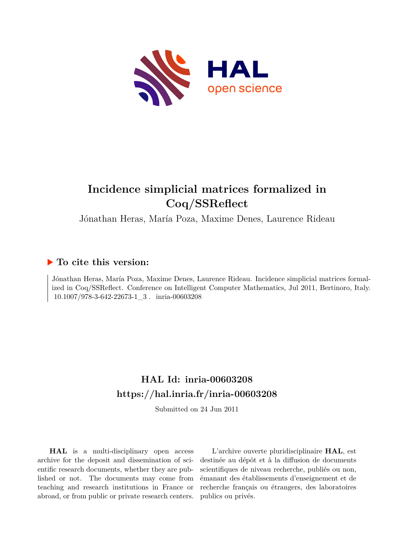

# **Incidence simplicial matrices formalized in Coq/SSReflect**

Jónathan Heras, María Poza, Maxime Denes, Laurence Rideau

### **To cite this version:**

Jónathan Heras, María Poza, Maxime Denes, Laurence Rideau. Incidence simplicial matrices formalized in Coq/SSReflect. Conference on Intelligent Computer Mathematics, Jul 2011, Bertinoro, Italy.  $10.1007/978-3-642-22673-1\_3$ . inria-00603208

## **HAL Id: inria-00603208 <https://hal.inria.fr/inria-00603208>**

Submitted on 24 Jun 2011

**HAL** is a multi-disciplinary open access archive for the deposit and dissemination of scientific research documents, whether they are published or not. The documents may come from teaching and research institutions in France or abroad, or from public or private research centers.

L'archive ouverte pluridisciplinaire **HAL**, est destinée au dépôt et à la diffusion de documents scientifiques de niveau recherche, publiés ou non, émanant des établissements d'enseignement et de recherche français ou étrangers, des laboratoires publics ou privés.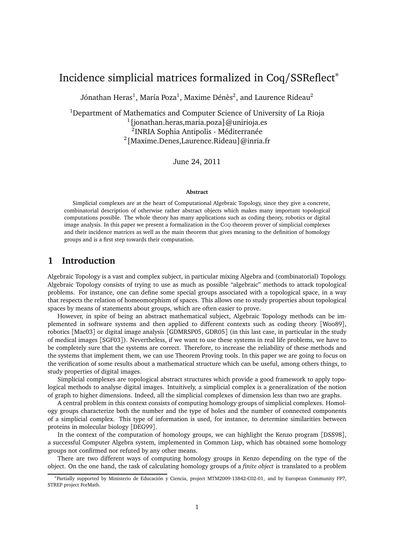## Incidence simplicial matrices formalized in Coq/SSReflect<sup>∗</sup>

Jónathan Heras $^{\rm l}$ , María Poza $^{\rm l}$ , Maxime Dénès $^{\rm 2}$ , and Laurence Rideau $^{\rm 2}$ 

<sup>1</sup>Department of Mathematics and Computer Science of University of La Rioja 1 {jonathan.heras,maria.poza}@unirioja.es 2 INRIA Sophia Antipolis - Méditerranée  $^{2}\{ {\rm Maxime. Denes, Laurence. Ridea} \} @ inria.fr$ 

June 24, 2011

#### **Abstract**

Simplicial complexes are at the heart of Computational Algebraic Topology, since they give a concrete, combinatorial description of otherwise rather abstract objects which makes many important topological computations possible. The whole theory has many applications such as coding theory, robotics or digital image analysis. In this paper we present a formalization in the COQ theorem prover of simplicial complexes and their incidence matrices as well as the main theorem that gives meaning to the definition of homology groups and is a first step towards their computation.

#### **1 Introduction**

Algebraic Topology is a vast and complex subject, in particular mixing Algebra and (combinatorial) Topology. Algebraic Topology consists of trying to use as much as possible "algebraic" methods to attack topological problems. For instance, one can define some special groups associated with a topological space, in a way that respects the relation of homeomorphism of spaces. This allows one to study properties about topological spaces by means of statements about groups, which are often easier to prove.

However, in spite of being an abstract mathematical subject, Algebraic Topology methods can be implemented in software systems and then applied to different contexts such as coding theory [[Woo89](#page-11-0)], robotics [[Mac03](#page-11-1)] or digital image analysis [[GDMRSP05,](#page-11-2) [GDR05](#page-11-3)] (in this last case, in particular in the study of medical images [[SGF03](#page-11-4)]). Nevertheless, if we want to use these systems in real life problems, we have to be completely sure that the systems are correct. Therefore, to increase the reliability of these methods and the systems that implement them, we can use Theorem Proving tools. In this paper we are going to focus on the verification of some results about a mathematical structure which can be useful, among others things, to study properties of digital images.

Simplicial complexes are topological abstract structures which provide a good framework to apply topological methods to analyse digital images. Intuitively, a simplicial complex is a generalization of the notion of graph to higher dimensions. Indeed, all the simplicial complexes of dimension less than two are graphs.

A central problem in this context consists of computing homology groups of simplicial complexes. Homology groups characterize both the number and the type of holes and the number of connected components of a simplicial complex. This type of information is used, for instance, to determine similarities between proteins in molecular biology [[DEG99](#page-10-0)].

In the context of the computation of homology groups, we can highlight the Kenzo program [[DSS98](#page-11-5)], a successful Computer Algebra system, implemented in Common Lisp, which has obtained some homology groups not confirmed nor refuted by any other means.

There are two different ways of computing homology groups in Kenzo depending on the type of the object. On the one hand, the task of calculating homology groups of a *finite object* is translated to a problem

<sup>∗</sup>Partially supported by Ministerio de Educación y Ciencia, project MTM2009-13842-C02-01, and by European Community FP7, STREP project ForMath.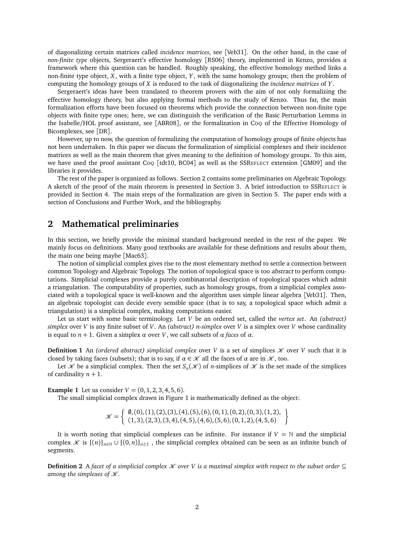of diagonalizing certain matrices called *incidence matrices*, see [[Veb31](#page-11-6)]. On the other hand, in the case of *non-finite type* objects, Sergeraert's effective homology [[RS06](#page-11-7)] theory, implemented in Kenzo, provides a framework where this question can be handled. Roughly speaking, the effective homology method links a non-finite type object, *X*, with a finite type object, *Y* , with the same homology groups; then the problem of computing the homology groups of *X* is reduced to the task of diagonalizing the *incidence matrices* of *Y* .

Sergeraert's ideas have been translated to theorem provers with the aim of not only formalizing the effective homology theory, but also applying formal methods to the study of Kenzo. Thus far, the main formalization efforts have been focused on theorems which provide the connection between non-finite type objects with finite type ones; here, we can distinguish the verification of the Basic Perturbation Lemma in the Isabelle/HOL proof assistant, see [[ABR08](#page-10-1)], or the formalization in COQ of the Effective Homology of Bicomplexes, see [[DR](#page-11-8)].

However, up to now, the question of formalizing the computation of homology groups of finite objects has not been undertaken. In this paper we discuss the formalization of simplicial complexes and their incidence matrices as well as the main theorem that gives meaning to the definition of homology groups. To this aim, we have used the proof assistant COQ [[tdt10,](#page-11-9) [BC04](#page-10-2)] as well as the SSREFLECT extension [[GM09](#page-11-10)] and the libraries it provides.

The rest of the paper is organized as follows. Section [2](#page-2-0) contains some preliminaries on Algebraic Topology. A sketch of the proof of the main theorem is presented in Section [3.](#page-5-0) A brief introduction to SSREFLECT is provided in Section [4.](#page-7-0) The main steps of the formalization are given in Section [5.](#page-8-0) The paper ends with a section of Conclusions and Further Work, and the bibliography.

#### <span id="page-2-0"></span>**2 Mathematical preliminaries**

In this section, we briefly provide the minimal standard background needed in the rest of the paper. We mainly focus on definitions. Many good textbooks are available for these definitions and results about them, the main one being maybe [[Mac63](#page-11-11)].

The notion of simplicial complex gives rise to the most elementary method to settle a connection between common Topology and Algebraic Topology. The notion of topological space is too abstract to perform computations. Simplicial complexes provide a purely combinatorial description of topological spaces which admit a triangulation. The computability of properties, such as homology groups, from a simplicial complex associated with a topological space is well-known and the algorithm uses simple linear algebra [[Veb31](#page-11-6)]. Then, an algebraic topologist can decide every sensible space (that is to say, a topological space which admit a triangulation) is a simplicial complex, making computations easier.

Let us start with some basic terminology. Let *V* be an ordered set, called the *vertex set*. An *(abstract) simplex* over *V* is any finite subset of *V*. An *(abstract) n-simplex* over *V* is a simplex over *V* whose cardinality is equal to *n* + 1. Given a simplex *α* over *V*, we call subsets of *α faces* of *α*.

**Definition 1** An *(ordered abstract) simplicial complex* over *V* is a set of simplices  $K$  over *V* such that it is closed by taking faces (subsets); that is to say, if  $\alpha \in \mathcal{K}$  all the faces of  $\alpha$  are in  $\mathcal{K}$ , too.

Let  $\mathscr K$  be a simplicial complex. Then the set  $S_n(\mathscr K)$  of *n*-simplices of  $\mathscr K$  is the set made of the simplices of cardinality  $n + 1$ .

**Example 1** Let us consider  $V = (0, 1, 2, 3, 4, 5, 6)$ .

The small simplicial complex drawn in Figure [1](#page-3-0) is mathematically defined as the object:

$$
\mathcal{K} = \left\{ \begin{array}{c} \emptyset, (0), (1), (2), (3), (4), (5), (6), (0, 1), (0, 2), (0, 3), (1, 2), \\ (1, 3), (2, 3), (3, 4), (4, 5), (4, 6), (5, 6), (0, 1, 2), (4, 5, 6) \end{array} \right\}
$$

It is worth noting that simplicial complexes can be infinite. For instance if  $V = N$  and the simplicial complex  $\mathscr K$  is  $\{(n)\}_{n\in\mathbb N}\cup\{(0,n)\}_{n\geq 1}$  , the simplicial complex obtained can be seen as an infinite bunch of segments.

**Definition 2** A *facet of a simplicial complex <i>X over V* is a maximal simplex with respect to the subset order ⊆ *among the simplexes of*  $K$ .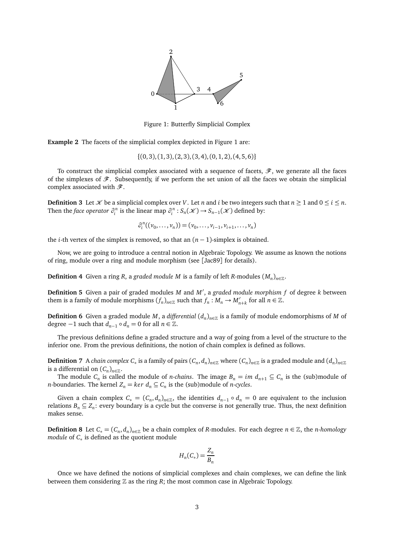

<span id="page-3-0"></span>Figure 1: Butterfly Simplicial Complex

**Example 2** The facets of the simplicial complex depicted in Figure [1](#page-3-0) are:

$$
\{(0,3), (1,3), (2,3), (3,4), (0,1,2), (4,5,6)\}
$$

To construct the simplicial complex associated with a sequence of facets,  $\mathscr{F}$ , we generate all the faces of the simplexes of  $\mathscr F$ . Subsequently, if we perform the set union of all the faces we obtain the simplicial complex associated with  $\mathcal{F}$ .

**Definition 3** Let  $K$  be a simplicial complex over *V*. Let *n* and *i* be two integers such that  $n \ge 1$  and  $0 \le i \le n$ . Then the *face operator*  $\partial_i^n$  is the linear map  $\partial_i^n : S_n(\mathcal{K}) \to S_{n-1}(\mathcal{K})$  defined by:

$$
\partial_i^n((v_0,\ldots,v_n))=(v_0,\ldots,v_{i-1},v_{i+1},\ldots,v_n)
$$

the *i*-th vertex of the simplex is removed, so that an  $(n - 1)$ -simplex is obtained.

Now, we are going to introduce a central notion in Algebraic Topology. We assume as known the notions of ring, module over a ring and module morphism (see [[Jac89](#page-11-12)] for details).

**Definition 4** Given a ring *R*, a *graded module M* is a family of left *R*-modules  $(M_n)_{n\in\mathbb{Z}}$ .

Definition 5 Given a pair of graded modules *M* and *M'*, a graded module morphism f of degree *k* between them is a family of module morphisms  $(f_n)_{n \in \mathbb{Z}}$  such that  $f_n : M_n \to M'_{n+k}$  for all  $n \in \mathbb{Z}$ .

**Definition 6** Given a graded module *M*, a *differential*  $(d_n)_{n \in \mathbb{Z}}$  is a family of module endomorphisms of *M* of degree  $-1$  such that  $d_{n-1} \circ d_n = 0$  for all  $n \in \mathbb{Z}$ .

The previous definitions define a graded structure and a way of going from a level of the structure to the inferior one. From the previous definitions, the notion of chain complex is defined as follows.

Definition 7  $\,$  A *chain complex C* $_{*}$  is a family of pairs  $(C_n,d_n)_{n\in\mathbb{Z}}$  where  $(C_n)_{n\in\mathbb{Z}}$  is a graded module and  $(d_n)_{n\in\mathbb{Z}}$ is a differential on  $(C_n)_{n\in\mathbb{Z}}$ .

The module  $C_n$  is called the module of *n*-chains. The image  $B_n = im d_{n+1} \subseteq C_n$  is the (sub)module of *n*-boundaries. The kernel  $Z_n = \text{ker } d_n \subseteq C_n$  is the (sub)module of *n-cycles*.

Given a chain complex  $C_* = (C_n, d_n)_{n \in \mathbb{Z}}$ , the identities  $d_{n-1} \circ d_n = 0$  are equivalent to the inclusion relations  $B_n \subseteq Z_n$ : every boundary is a cycle but the converse is not generally true. Thus, the next definition makes sense.

**Definition 8** Let  $C_* = (C_n, d_n)_{n \in \mathbb{Z}}$  be a chain complex of *R*-modules. For each degree  $n \in \mathbb{Z}$ , the *n-homology module* of *C*<sup>∗</sup> is defined as the quotient module

$$
H_n(C_*)=\frac{Z_n}{B_n}
$$

Once we have defined the notions of simplicial complexes and chain complexes, we can define the link between them considering  $Z$  as the ring  $R$ ; the most common case in Algebraic Topology.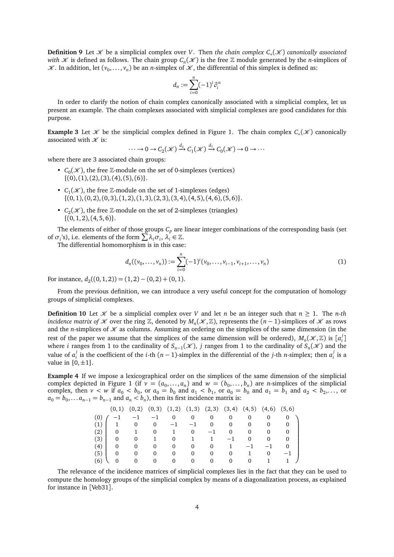**Definition 9** Let ∦ be a simplicial complex over *V*. Then *the chain complex C<sub>∗</sub>(∦) canonically associated* with  $K$  is defined as follows. The chain group  $C_n(\mathcal{K})$  is the free  $\mathbb Z$  module generated by the *n*-simplices of  $\mathcal{K}$ . In addition, let  $(v_0, \ldots, v_n)$  be an *n*-simplex of  $\mathcal{K}$ , the differential of this simplex is defined as:

$$
d_n := \sum_{i=0}^n (-1)^i \partial_i^n
$$

In order to clarify the notion of chain complex canonically associated with a simplicial complex, let us present an example. The chain complexes associated with simplicial complexes are good candidates for this purpose.

**Example 3** Let  $\mathcal X$  be the simplicial complex defined in Figure [1.](#page-3-0) The chain complex  $C_*(\mathcal X)$  canonically associated with  $\mathcal X$  is:

$$
\cdots \to 0 \to C_2(\mathcal{K}) \xrightarrow{d_2} C_1(\mathcal{K}) \xrightarrow{d_1} C_0(\mathcal{K}) \to 0 \to \cdots
$$

where there are 3 associated chain groups:

- $C_0(\mathcal{K})$ , the free  $\mathbb{Z}$ -module on the set of 0-simplexes (vertices)  $\{(0), (1), (2), (3), (4), (5), (6)\}.$
- $C_1(\mathcal{K})$ , the free  $\mathbb{Z}$ -module on the set of 1-simplexes (edges)  $\{(0, 1), (0, 2), (0, 3), (1, 2), (1, 3), (2, 3), (3, 4), (4, 5), (4, 6), (5, 6)\}.$
- $C_2(\mathcal{K})$ , the free  $\mathbb{Z}$ -module on the set of 2-simplexes (triangles)  $\{(0, 1, 2), (4, 5, 6)\}.$

The elements of either of those groups  $C_p$  are linear integer combinations of the corresponding basis (set of  $\sigma_i$ 's), i.e. elements of the form  $\sum \lambda_i \sigma_i$ ,  $\lambda_i \in \mathbb{Z}$ .

The differential homomorphism is in this case:

<span id="page-4-0"></span>
$$
d_n((v_0,\ldots,v_n)) := \sum_{i=0}^n (-1)^i (v_0,\ldots,v_{i-1},v_{i+1},\ldots,v_n)
$$
 (1)

For instance,  $d_2((0,1,2)) = (1,2) - (0,2) + (0,1)$ .

From the previous definition, we can introduce a very useful concept for the computation of homology groups of simplicial complexes.

**Definition 10** Let  $\mathcal{K}$  be a simplicial complex over *V* and let *n* be an integer such that  $n \geq 1$ . The *n*-th *incidence matrix of*  $K$  over the ring  $\mathbb{Z}$ , denoted by  $M_n(\mathscr{K}, \mathbb{Z})$ , represents the  $(n-1)$ -simplices of  $\mathscr{K}$  as rows and the *n*-simplices of  $K$  as columns. Assuming an ordering on the simplices of the same dimension (in the rest of the paper we assume that the simplices of the same dimension will be ordered),  $M_n(\mathscr{K},\mathbb{Z})$  is  $[a_i^j]$ *i* ] where *i* ranges from 1 to the cardinality of  $S_{n-1}(\mathcal{K})$ , *j* ranges from 1 to the cardinality of  $S_n(\mathcal{K})$  and the value of  $a_i^j$ *i*<sub>i</sub> is the coefficient of the *i*-th (*n* − 1)-simplex in the differential of the *j*-th *n*-simplex; then  $a_i^j$  $\int\limits_i^j$  is a value in  $\{0, \pm 1\}$ .

**Example 4** If we impose a lexicographical order on the simplices of the same dimension of the simplicial complex depicted in Figure [1](#page-3-0) (if  $v = (a_0, \ldots, a_n)$  and  $w = (b_0, \ldots, b_n)$  are *n*-simplices of the simplicial complex, then  $v < w$  if  $a_0 < b_0$ , or  $a_0 = b_0$  and  $a_1 < b_1$ , or  $a_0 = b_0$  and  $a_1 = b_1$  and  $a_2 < b_2$ ,..., or  $a_0 = b_0, \ldots a_{n-1} = b_{n-1}$  and  $a_n < b_n$ ), then its first incidence matrix is:

|     |                              |                |                |                |                |                |              | $(0,1)$ $(0,2)$ $(0,3)$ $(1,2)$ $(1,3)$ $(2,3)$ $(3,4)$ $(4,5)$ $(4,6)$ $(5,6)$ |
|-----|------------------------------|----------------|----------------|----------------|----------------|----------------|--------------|---------------------------------------------------------------------------------|
| (0) | $\sqrt{-1}$                  |                |                |                |                | $-1$ 0 0 0 0 0 | $\mathbf{0}$ |                                                                                 |
|     |                              |                |                |                |                |                |              | $(1)$   1 0 0 -1 -1 0 0 0 0 0 0                                                 |
|     |                              |                |                |                |                |                |              |                                                                                 |
|     | $(3)$   0 0 1 0 1 1 -1 0 0 0 |                |                |                |                |                |              |                                                                                 |
|     | $(4)$ 0                      | $\overline{0}$ | $\overline{0}$ |                |                |                |              | $0 \t 0 \t 0 \t 1 \t -1 \t -1 \t 0 \t 1$                                        |
|     | $(5)$ 0                      | $\overline{0}$ | $\mathbf{0}$   | $\overline{0}$ | $\overline{0}$ |                |              | $0 \t 0 \t 1 \t 0 \t -1$                                                        |
|     | $(6)$ ( 0                    | $\overline{0}$ | $\overline{0}$ |                |                |                |              | 0 0 0 0 0 0 1 1 /                                                               |

The relevance of the incidence matrices of simplicial complexes lies in the fact that they can be used to compute the homology groups of the simplicial complex by means of a diagonalization process, as explained for instance in [[Veb31](#page-11-6)].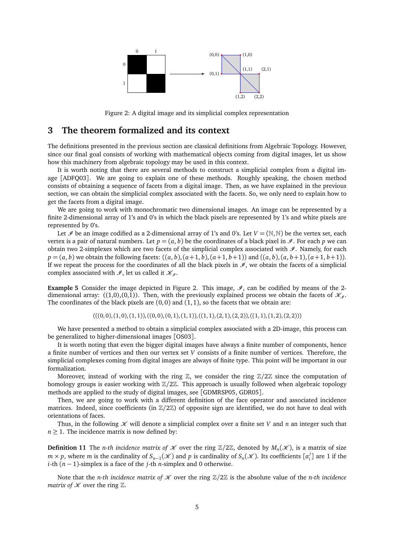

<span id="page-5-1"></span>Figure 2: A digital image and its simplicial complex representation

#### <span id="page-5-0"></span>**3 The theorem formalized and its context**

The definitions presented in the previous section are classical definitions from Algebraic Topology. However, since our final goal consists of working with mathematical objects coming from digital images, let us show how this machinery from algebraic topology may be used in this context.

It is worth noting that there are several methods to construct a simplicial complex from a digital image [[ADFQ03](#page-10-3)]. We are going to explain one of these methods. Roughly speaking, the chosen method consists of obtaining a sequence of facets from a digital image. Then, as we have explained in the previous section, we can obtain the simplicial complex associated with the facets. So, we only need to explain how to get the facets from a digital image.

We are going to work with monochromatic two dimensional images. An image can be represented by a finite 2-dimensional array of 1's and 0's in which the black pixels are represented by 1's and white pixels are represented by 0's.

Let  $\mathcal I$  be an image codified as a 2-dimensional array of 1's and 0's. Let  $V = (N, N)$  be the vertex set, each vertex is a pair of natural numbers. Let  $p = (a, b)$  be the coordinates of a black pixel in  $\mathcal{I}$ . For each *p* we can obtain two 2-simplexes which are two facets of the simplicial complex associated with  $\mathcal{I}$ . Namely, for each  $p = (a, b)$  we obtain the following facets:  $((a, b), (a+1, b), (a+1, b+1))$  and  $((a, b), (a, b+1), (a+1, b+1))$ . If we repeat the process for the coordinates of all the black pixels in  $\mathcal{I}$ , we obtain the facets of a simplicial complex associated with  $\mathcal{I}$ , let us called it  $\mathcal{K}_{d}$ .

**Example 5** Consider the image depicted in Figure [2.](#page-5-1) This image,  $\mathscr{I}$ , can be codified by means of the 2dimensional array: ((1,0),(0,1)). Then, with the previously explained process we obtain the facets of  $\mathcal{K}_{\varphi}$ . The coordinates of the black pixels are  $(0, 0)$  and  $(1, 1)$ , so the facets that we obtain are:

 $(((0,0),(1,0),(1,1)),((0,0),(0,1),(1,1)),((1,1),(2,1),(2,2)),((1,1),(1,2),(2,2)))$ 

We have presented a method to obtain a simplicial complex associated with a 2D-image, this process can be generalized to higher-dimensional images [[OS03](#page-11-13)].

It is worth noting that even the bigger digital images have always a finite number of components, hence a finite number of vertices and then our vertex set *V* consists of a finite number of vertices. Therefore, the simplicial complexes coming from digital images are always of finite type. This point will be important in our formalization.

Moreover, instead of working with the ring  $\mathbb{Z}$ , we consider the ring  $\mathbb{Z}/2\mathbb{Z}$  since the computation of homology groups is easier working with Z*/*2Z. This approach is usually followed when algebraic topology methods are applied to the study of digital images, see [[GDMRSP05,](#page-11-2) [GDR05](#page-11-3)].

Then, we are going to work with a different definition of the face operator and associated incidence matrices. Indeed, since coefficients (in Z*/*2Z) of opposite sign are identified, we do not have to deal with orientations of faces.

Thus, in the following  $\mathscr K$  will denote a simplicial complex over a finite set *V* and *n* an integer such that  $n \geq 1$ . The incidence matrix is now defined by:

**Definition 11** The *n-th incidence matrix of*  $K$  over the ring  $\mathbb{Z}/2\mathbb{Z}$ , denoted by  $M_n(\mathscr{K})$ , is a matrix of size *m* × *p*, where *m* is the cardinality of  $S_{n-1}(\mathcal{K})$  and *p* is cardinality of  $S_n(\mathcal{K})$ . Its coefficients [ $a_i^j$  $\binom{J}{i}$  are 1 if the *i*-th (*n* − 1)-simplex is a face of the *j*-th *n*-simplex and 0 otherwise.

Note that the *n-th incidence matrix of*  $K$  over the ring  $\mathbb{Z}/2\mathbb{Z}$  is the absolute value of the *n-th incidence matrix of*  $K$  over the ring  $\mathbb{Z}$ .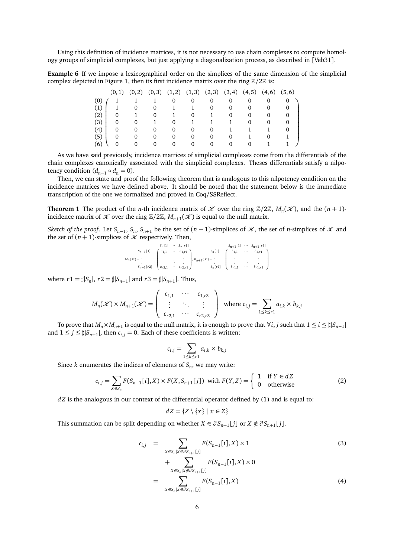Using this definition of incidence matrices, it is not necessary to use chain complexes to compute homology groups of simplicial complexes, but just applying a diagonalization process, as described in [[Veb31](#page-11-6)].

**Example 6** If we impose a lexicographical order on the simplices of the same dimension of the simplicial complex depicted in Figure [1,](#page-3-0) then its first incidence matrix over the ring  $\mathbb{Z}/2\mathbb{Z}$  is:

|     |          | $(0,1)$ $(0,2)$ $(0,3)$ $(1,2)$ $(1,3)$ $(2,3)$ $(3,4)$ $(4,5)$ $(4,6)$ $(5,6)$ |          |   |          |   |          |  |
|-----|----------|---------------------------------------------------------------------------------|----------|---|----------|---|----------|--|
|     |          |                                                                                 |          | O | O        |   |          |  |
|     |          |                                                                                 |          |   | $\Omega$ | 0 |          |  |
| (2) | $\Omega$ |                                                                                 |          |   |          | 0 | $\theta$ |  |
| (3) | $\Omega$ |                                                                                 | 0        |   |          |   |          |  |
|     |          |                                                                                 |          |   | 0        |   |          |  |
| (5) |          |                                                                                 | $\Omega$ | O | $\Omega$ |   |          |  |
| (6) |          |                                                                                 |          |   | 0        | 0 |          |  |

As we have said previously, incidence matrices of simplicial complexes come from the differentials of the chain complexes canonically associated with the simplicial complexes. Theses differentials satisfy a nilpotency condition  $(d_{n-1} \circ d_n = 0)$ .

Then, we can state and proof the following theorem that is analogous to this nilpotency condition on the incidence matrices we have defined above. It should be noted that the statement below is the immediate transcription of the one we formalized and proved in Coq/SSReflect.

<span id="page-6-0"></span>**Theorem 1** The product of the *n*-th incidence matrix of  $\mathcal{K}$  over the ring  $\mathbb{Z}/2\mathbb{Z}$ ,  $M_n(\mathcal{K})$ , and the  $(n+1)$ incidence matrix of  $\mathcal X$  over the ring  $\mathbb Z/2\mathbb Z$ ,  $M_{n+1}(\mathcal X)$  is equal to the null matrix.

*Sketch of the proof.* Let  $S_{n-1}$ ,  $S_n$ ,  $S_{n+1}$  be the set of  $(n-1)$ -simplices of  $K$ , the set of *n*-simplices of  $K$  and the set of  $(n + 1)$ -simplices of  $K$  respectively. Then,

$$
M_{n}(x) = \begin{pmatrix} s_{n+1} & s_{n+1} & s_{n+1} & s_{n+1} & s_{n+1} & s_{n+1} & s_{n+1} & s_{n+1} & s_{n+1} & s_{n+1} & s_{n+1} & s_{n+1} & s_{n+1} & s_{n+1} & s_{n+1} & s_{n+1} & s_{n+1} & s_{n+1} & s_{n+1} & s_{n+1} & s_{n+1} & s_{n+1} & s_{n+1} & s_{n+1} & s_{n+1} & s_{n+1} & s_{n+1} & s_{n+1} & s_{n+1} & s_{n+1} & s_{n+1} & s_{n+1} & s_{n+1} & s_{n+1} & s_{n+1} & s_{n+1} & s_{n+1} & s_{n+1} & s_{n+1} & s_{n+1} & s_{n+1} & s_{n+1} & s_{n+1} & s_{n+1} & s_{n+1} & s_{n+1} & s_{n+1} & s_{n+1} & s_{n+1} & s_{n+1} & s_{n+1} & s_{n+1} & s_{n+1} & s_{n+1} & s_{n+1} & s_{n+1} & s_{n+1} & s_{n+1} & s_{n+1} & s_{n+1} & s_{n+1} & s_{n+1} & s_{n+1} & s_{n+1} & s_{n+1} & s_{n+1} & s_{n+1} & s_{n+1} & s_{n+1} & s_{n+1} & s_{n+1} & s_{n+1} & s_{n+1} & s_{n+1} & s_{n+1} & s_{n+1} & s_{n+1} & s_{n+1} & s_{n+1} & s_{n+1} & s_{n+1} & s_{n+1} & s_{n+1} & s_{n+1} & s_{n+1} & s_{n+1} & s_{n+1} & s_{n+1} & s_{n+1} & s_{n+1} & s_{n+1} & s_{n+1} & s_{n+1} & s_{n+1} & s_{n+1} & s_{n+1} & s_{n+1} & s_{n+1} & s_{n+1} & s_{n+1} & s_{n+1} & s_{n+1} & s_{n+1} & s_{n+1} & s_{n+1} & s_{n+1} & s_{n+
$$

 $\mathbf{w} = r \mathbf{1} = \sharp |S_n|, r \mathbf{2} = \sharp |S_{n-1}| \text{ and } r \mathbf{3} = \sharp |S_{n+1}|.$  Thus,

$$
M_n(\mathcal{K}) \times M_{n+1}(\mathcal{K}) = \left( \begin{array}{ccc} c_{1,1} & \cdots & c_{1,r3} \\ \vdots & \ddots & \vdots \\ c_{r2,1} & \cdots & c_{r2,r3} \end{array} \right) \text{ where } c_{i,j} = \sum_{1 \leq k \leq r1} a_{i,k} \times b_{k,j}
$$

To prove that  $M_n \times M_{n+1}$  is equal to the null matrix, it is enough to prove that  $\forall i,j$  such that  $1 \leq i \leq \sharp|S_{n-1}|$ and  $1 \leq j \leq \sharp |S_{n+1}|$ , then  $c_{i,j} = 0$ . Each of these coefficients is written:

<span id="page-6-2"></span>
$$
c_{i,j} = \sum_{1 \leq k \leq r1} a_{i,k} \times b_{k,j}
$$

Since *k* enumerates the indices of elements of *S<sup>n</sup>* , we may write:

$$
c_{i,j} = \sum_{X \in S_n} F(S_{n-1}[i], X) \times F(X, S_{n+1}[j]) \text{ with } F(Y, Z) = \begin{cases} 1 & \text{if } Y \in dZ \\ 0 & \text{otherwise} \end{cases} \tag{2}
$$

*d Z* is the analogous in our context of the differential operator defined by [\(1\)](#page-4-0) and is equal to:

$$
dZ = \{ Z \setminus \{x\} \mid x \in Z \}
$$

This summation can be split depending on whether  $X \in \partial S_{n+1}[j]$  or  $X \notin \partial S_{n+1}[j]$ .

<span id="page-6-1"></span>
$$
c_{i,j} = \sum_{X \in S_n | X \in \partial S_{n+1}[j]} F(S_{n-1}[i], X) \times 1
$$
  
+ 
$$
\sum_{X \in S_n | X \notin \partial S_{n+1}[j]} F(S_{n-1}[i], X) \times 0
$$
  
= 
$$
\sum_{X \in S_n | X \in \partial S_{n+1}[j]} F(S_{n-1}[i], X)
$$
 (4)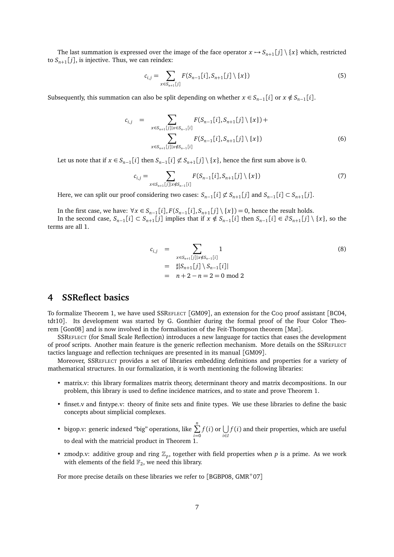The last summation is expressed over the image of the face operator  $x \mapsto S_{n+1}[j] \setminus \{x\}$  which, restricted to  $S_{n+1}[j]$ , is injective. Thus, we can reindex:

<span id="page-7-3"></span>
$$
c_{i,j} = \sum_{x \in S_{n+1}[j]} F(S_{n-1}[i], S_{n+1}[j] \setminus \{x\})
$$
\n(5)

Subsequently, this summation can also be split depending on whether  $x \in S_{n-1}[i]$  or  $x \notin S_{n-1}[i]$ .

<span id="page-7-1"></span>
$$
c_{i,j} = \sum_{x \in S_{n+1}[j] \mid x \in S_{n-1}[i]} F(S_{n-1}[i], S_{n+1}[j] \setminus \{x\}) + \sum_{x \in S_{n+1}[j] \mid x \notin S_{n-1}[i]} F(S_{n-1}[i], S_{n+1}[j] \setminus \{x\})
$$
(6)

<span id="page-7-2"></span>Let us note that if  $x \in S_{n-1}[i]$  then  $S_{n-1}[i] \not\subset S_{n+1}[j] \setminus \{x\}$ , hence the first sum above is 0.

$$
c_{i,j} = \sum_{x \in S_{n+1}[j] \mid x \notin S_{n-1}[i]} F(S_{n-1}[i], S_{n+1}[j] \setminus \{x\})
$$
(7)

Here, we can split our proof considering two cases:  $S_{n-1}[i] \not\subset S_{n+1}[j]$  and  $S_{n-1}[i] \subset S_{n+1}[j]$ .

In the first case, we have:  $\forall x \in S_{n-1}[i]$ ,  $F(S_{n-1}[i], S_{n+1}[j] \setminus \{x\}) = 0$ , hence the result holds.

In the second case,  $S_{n-1}[i] \subset S_{n+1}[j]$  implies that if  $x \notin S_{n-1}[i]$  then  $S_{n-1}[i] \in \partial S_{n+1}[j] \setminus \{x\}$ , so the terms are all 1.

<span id="page-7-4"></span>
$$
c_{i,j} = \sum_{x \in S_{n+1}[j] \mid x \notin S_{n-1}[i]} 1
$$
\n
$$
= \sharp |S_{n+1}[j] \setminus S_{n-1}[i]|
$$
\n
$$
= n + 2 - n = 2 = 0 \mod 2
$$
\n(8)

#### <span id="page-7-0"></span>**4 SSReflect basics**

To formalize Theorem [1,](#page-6-0) we have used SSREFLECT [[GM09](#page-11-10)], an extension for the COQ proof assistant [[BC04,](#page-10-2) [tdt10](#page-11-9)]. Its development was started by G. Gonthier during the formal proof of the Four Color Theorem [[Gon08](#page-11-14)] and is now involved in the formalisation of the Feit-Thompson theorem [[Mat](#page-11-15)].

SSREFLECT (for Small Scale Reflection) introduces a new language for tactics that eases the development of proof scripts. Another main feature is the generic reflection mechanism. More details on the SSREFLECT tactics language and reflection techniques are presented in its manual [[GM09](#page-11-10)].

Moreover, SSREFLECT provides a set of libraries embedding definitions and properties for a variety of mathematical structures. In our formalization, it is worth mentioning the following libraries:

- matrix.v: this library formalizes matrix theory, determinant theory and matrix decompositions. In our problem, this library is used to define incidence matrices, and to state and prove Theorem [1.](#page-6-0)
- finset.v and fintype.v: theory of finite sets and finite types. We use these libraries to define the basic concepts about simplicial complexes.
- bigop.v: generic indexed "big" operations, like  $\sum_{n=1}^n$ *i*=0 *f* (*i*) or  $\vert$  ) *i*∈*I f* (*i*) and their properties, which are useful to deal with the matricial product in Theorem [1.](#page-6-0)
- zmodp.v: additive group and ring  $\mathbb{Z}_p$ , together with field properties when *p* is a prime. As we work with elements of the field  $\mathbb{F}_2$ , we need this library.

For more precise details on these libraries we refer to [[BGBP08,](#page-10-4) [GMR](#page-11-16)<sup>+</sup>07]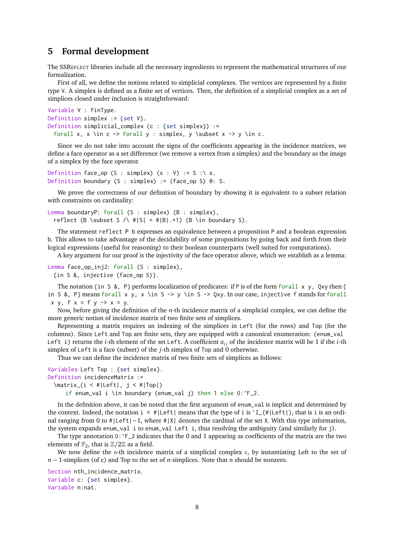#### <span id="page-8-0"></span>**5 Formal development**

The SSREFLECT libraries include all the necessary ingredients to represent the mathematical structures of our formalization.

First of all, we define the notions related to simplicial complexes. The vertices are represented by a finite type V. A simplex is defined as a finite set of vertices. Then, the definition of a simplicial complex as a set of simplices closed under inclusion is straightforward:

```
Variable V : finType.
Definition simplex := {set V}.
Definition simplicial_complex (c : {set simplex}) :=
 forall x, x \in c -> forall y : simplex, y \subset x -> y \in c.
```
Since we do not take into account the signs of the coefficients appearing in the incidence matrices, we define a face operator as a set difference (we remove a vertex from a simplex) and the boundary as the image of a simplex by the face operator.

Definition face\_op (S : simplex)  $(x : V) := S : \ X$ . Definition boundary (S : simplex) := (face\_op S) @: S.

We prove the correctness of our definition of boundary by showing it is equivalent to a subset relation with constraints on cardinality:

```
Lemma boundaryP: forall (S : simplex) (B : simplex),
 reflect (B \subset S /\ #|S| = #|B|.+1) (B \in boundary S).
```
The statement reflect P b expresses an equivalence between a proposition P and a boolean expression b. This allows to take advantage of the decidability of some propositions by going back and forth from their logical expressions (useful for reasoning) to their boolean counterparts (well suited for computations).

A key argument for our proof is the injectivity of the face operator above, which we establish as a lemma:

```
Lemma face_op_inj2: forall (S : simplex),
 {in S &, injective (face_op S)}.
```
The notation {in S &, P} performs localization of predicates: if P is of the form for all  $x, y$ , Qxy then { in S &, P} means for all x y, x \in S -> y \in S -> Qxy. In our case, injective f stands for for all  $x \vee y$ ,  $f \times = f \vee \neg > x = y$ .

Now, before giving the definition of the *n*-th incidence matrix of a simplicial complex, we can define the more generic notion of incidence matrix of two finite sets of simplices.

Representing a matrix requires an indexing of the simplices in Left (for the rows) and Top (for the columns). Since Left and Top are finite sets, they are equipped with a canonical enumeration: (enum\_val Left i) returns the *i*-th element of the set Left. A coefficient *ai j* of the incidence matrix will be 1 if the *i*-th simplex of Left is a face (subset) of the *j*-th simplex of Top and 0 otherwise.

Thus we can define the incidence matrix of two finite sets of simplices as follows:

```
Variables Left Top : {set simplex}.
Definition incidenceMatrix :=
 \matrix_(i < #|Left|, j < #|Top|)
     if enum_val i \in boundary (enum_val j) then 1 else 0:'F_2.
```
In the definition above, it can be noted that the first argument of enum\_val is implicit and determined by the context. Indeed, the notation  $i \lt \#|\text{Left}|$  means that the type of i is 'I\_(#|Left|), that is i is an ordinal ranging from 0 to #|Left|−1, where #|X| denotes the cardinal of the set X. With this type information, the system expands enum\_val i to enum\_val Left i, thus resolving the ambiguity (and similarly for j).

The type annotation  $0:$  ' $F_2$  indicates that the 0 and 1 appearing as coefficients of the matrix are the two elements of  $\mathbb{F}_2$ , that is  $\mathbb{Z}/2\mathbb{Z}$  as a field.

We now define the n-th incidence matrix of a simplicial complex c, by instantiating Left to the set of *n* − 1-simplices (of c) and Top to the set of *n*-simplices. Note that *n* should be nonzero.

```
Section nth_incidence_matrix.
Variable c: {set simplex}.
Variable n:nat.
```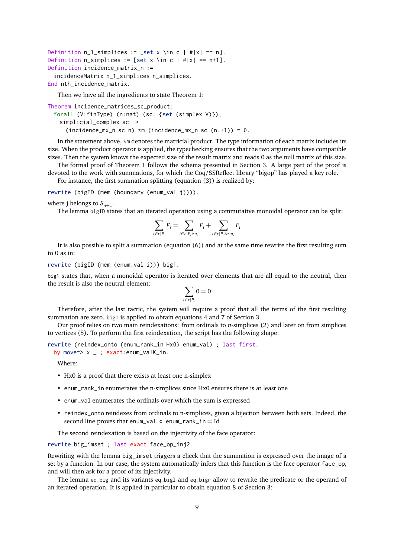```
Definition n_1_simplices := [set x \in c | #|x| == n].
Definition n_simplices := [set x \in c | #|x| == n+1].
Definition incidence_matrix_n :=
 incidenceMatrix n_1_simplices n_simplices.
End nth_incidence_matrix.
```
Then we have all the ingredients to state Theorem [1:](#page-6-0)

```
Theorem incidence_matrices_sc_product:
 forall (V:finType) (n:nat) (sc: {set (simplex V)}),
   simplicial_complex sc ->
     (incidence_mx_n sc n) *m (incidence_mx_n sc (n.+1)) = 0.
```
In the statement above, \*m denotes the matricial product. The type information of each matrix includes its size. When the product operator is applied, the typechecking ensures that the two arguments have compatible sizes. Then the system knows the expected size of the result matrix and reads 0 as the null matrix of this size.

The formal proof of Theorem [1](#page-6-0) follows the schema presented in Section [3.](#page-5-0) A large part of the proof is devoted to the work with summations, for which the Coq/SSReflect library "bigop" has played a key role.

For instance, the first summation splitting (equation [\(3\)](#page-6-1)) is realized by:

rewrite (bigID (mem (boundary (enum\_val j)))).

where *j* belongs to 
$$
S_{n+1}
$$
.

The lemma bigID states that an iterated operation using a commutative monoidal operator can be split:

$$
\sum_{i \in r|P_i} F_i = \sum_{i \in r|P_i \wedge a_i} F_i + \sum_{i \in r|P_i \wedge \sim a_i} F_i
$$

It is also possible to split a summation (equation [\(6\)](#page-7-1)) and at the same time rewrite the first resulting sum to 0 as in:

rewrite (bigID (mem (enum\_val i))) big1.

big1 states that, when a monoidal operator is iterated over elements that are all equal to the neutral, then the result is also the neutral element:

$$
\sum_{i\in r|P_i}0=0
$$

Therefore, after the last tactic, the system will require a proof that all the terms of the first resulting summation are zero. big1 is applied to obtain equations [4](#page-6-1) and [7](#page-7-2) of Section [3.](#page-5-0)

Our proof relies on two main reindexations: from ordinals to *n*-simplices [\(2\)](#page-6-2) and later on from simplices to vertices [\(5\)](#page-7-3). To perform the first reindexation, the script has the following shape:

rewrite (reindex\_onto (enum\_rank\_in Hx0) enum\_val) ; last first.

by move=> x \_ ; exact:enum\_valK\_in.

Where:

- Hx0 is a proof that there exists at least one n-simplex
- enum\_rank\_in enumerates the n-simplices since Hx0 ensures there is at least one
- enum\_val enumerates the ordinals over which the sum is expressed
- reindex\_onto reindexes from ordinals to n-simplices, given a bijection between both sets. Indeed, the second line proves that enum\_val 。 enum\_rank\_in = Id

The second reindexation is based on the injectivity of the face operator:

rewrite big\_imset ; last exact:face\_op\_inj2.

Rewriting with the lemma big\_imset triggers a check that the summation is expressed over the image of a set by a function. In our case, the system automatically infers that this function is the face operator face\_op, and will then ask for a proof of its injectivity.

The lemma eq\_big and its variants eq\_bigl and eq\_bigr allow to rewrite the predicate or the operand of an iterated operation. It is applied in particular to obtain equation [8](#page-7-4) of Section [3:](#page-5-0)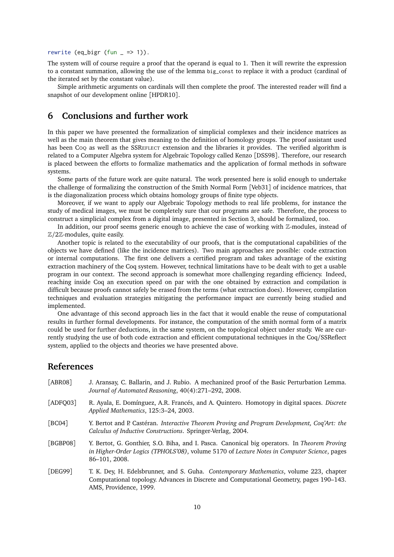rewrite (eq\_bigr (fun  $=$  => 1)).

The system will of course require a proof that the operand is equal to 1. Then it will rewrite the expression to a constant summation, allowing the use of the lemma big\_const to replace it with a product (cardinal of the iterated set by the constant value).

Simple arithmetic arguments on cardinals will then complete the proof. The interested reader will find a snapshot of our development online [[HPDR10](#page-11-17)].

#### **6 Conclusions and further work**

In this paper we have presented the formalization of simplicial complexes and their incidence matrices as well as the main theorem that gives meaning to the definition of homology groups. The proof assistant used has been COQ as well as the SSREFLECT extension and the libraries it provides. The verified algorithm is related to a Computer Algebra system for Algebraic Topology called Kenzo [[DSS98](#page-11-5)]. Therefore, our research is placed between the efforts to formalize mathematics and the application of formal methods in software systems.

Some parts of the future work are quite natural. The work presented here is solid enough to undertake the challenge of formalizing the construction of the Smith Normal Form [[Veb31](#page-11-6)] of incidence matrices, that is the diagonalization process which obtains homology groups of finite type objects.

Moreover, if we want to apply our Algebraic Topology methods to real life problems, for instance the study of medical images, we must be completely sure that our programs are safe. Therefore, the process to construct a simplicial complex from a digital image, presented in Section [3,](#page-5-0) should be formalized, too.

In addition, our proof seems generic enough to achieve the case of working with Z-modules, instead of Z*/*2Z-modules, quite easily.

Another topic is related to the executability of our proofs, that is the computational capabilities of the objects we have defined (like the incidence matrices). Two main approaches are possible: code extraction or internal computations. The first one delivers a certified program and takes advantage of the existing extraction machinery of the Coq system. However, technical limitations have to be dealt with to get a usable program in our context. The second approach is somewhat more challenging regarding efficiency. Indeed, reaching inside Coq an execution speed on par with the one obtained by extraction and compilation is difficult because proofs cannot safely be erased from the terms (what extraction does). However, compilation techniques and evaluation strategies mitigating the performance impact are currently being studied and implemented.

One advantage of this second approach lies in the fact that it would enable the reuse of computational results in further formal developments. For instance, the computation of the smith normal form of a matrix could be used for further deductions, in the same system, on the topological object under study. We are currently studying the use of both code extraction and efficient computational techniques in the Coq/SSReflect system, applied to the objects and theories we have presented above.

### **References**

<span id="page-10-4"></span><span id="page-10-3"></span><span id="page-10-2"></span><span id="page-10-1"></span><span id="page-10-0"></span>

| [ABR08]  | J. Aransay, C. Ballarin, and J. Rubio. A mechanized proof of the Basic Perturbation Lemma.<br>Journal of Automated Reasoning, 40(4):271-292, 2008.                                                           |
|----------|--------------------------------------------------------------------------------------------------------------------------------------------------------------------------------------------------------------|
| [ADFQ03] | R. Ayala, E. Domínguez, A.R. Francés, and A. Quintero. Homotopy in digital spaces. Discrete<br>Applied Mathematics, 125:3-24, 2003.                                                                          |
| [BC04]   | Y. Bertot and P. Castéran. Interactive Theorem Proving and Program Development, Coq'Art: the<br>Calculus of Inductive Constructions. Springer-Verlag, 2004.                                                  |
| [BGBP08] | Y. Bertot, G. Gonthier, S.O. Biha, and I. Pasca. Canonical big operators. In Theorem Proving<br>in Higher-Order Logics (TPHOLS'08), volume 5170 of Lecture Notes in Computer Science, pages<br>86-101, 2008. |
| [DEG99]  | T. K. Dey, H. Edelsbrunner, and S. Guha. Contemporary Mathematics, volume 223, chapter<br>Computational topology. Advances in Discrete and Computational Geometry, pages 190-143.<br>AMS, Providence, 1999.  |